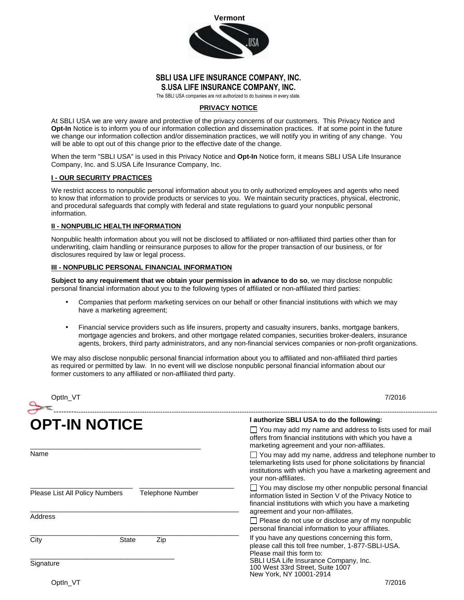

## **SBLI USA LIFE INSURANCE COMPANY, INC. S.USA LIFE INSURANCE COMPANY, INC.**

The SBLI USA companies are not authorized to do business in every state.

### **PRIVACY NOTICE**

At SBLI USA we are very aware and protective of the privacy concerns of our customers. This Privacy Notice and **Opt-In** Notice is to inform you of our information collection and dissemination practices. If at some point in the future we change our information collection and/or dissemination practices, we will notify you in writing of any change. You will be able to opt out of this change prior to the effective date of the change.

When the term "SBLI USA" is used in this Privacy Notice and **Opt-In** Notice form, it means SBLI USA Life Insurance Company, Inc. and S.USA Life Insurance Company, Inc.

### **I - OUR SECURITY PRACTICES**

We restrict access to nonpublic personal information about you to only authorized employees and agents who need to know that information to provide products or services to you. We maintain security practices, physical, electronic, and procedural safeguards that comply with federal and state regulations to guard your nonpublic personal information.

#### **II - NONPUBLIC HEALTH INFORMATION**

Nonpublic health information about you will not be disclosed to affiliated or non-affiliated third parties other than for underwriting, claim handling or reinsurance purposes to allow for the proper transaction of our business, or for disclosures required by law or legal process.

### **III - NONPUBLIC PERSONAL FINANCIAL INFORMATION**

**Subject to any requirement that we obtain your permission in advance to do so**, we may disclose nonpublic personal financial information about you to the following types of affiliated or non-affiliated third parties:

- Companies that perform marketing services on our behalf or other financial institutions with which we may have a marketing agreement;
- Financial service providers such as life insurers, property and casualty insurers, banks, mortgage bankers, mortgage agencies and brokers, and other mortgage related companies, securities broker-dealers, insurance agents, brokers, third party administrators, and any non-financial services companies or non-profit organizations.

We may also disclose nonpublic personal financial information about you to affiliated and non-affiliated third parties as required or permitted by law. In no event will we disclose nonpublic personal financial information about our former customers to any affiliated or non-affiliated third party.

| Optln_VT                                           |                     | 7/2016                                                                                                                                                                                                                    |
|----------------------------------------------------|---------------------|---------------------------------------------------------------------------------------------------------------------------------------------------------------------------------------------------------------------------|
| <b>OPT-IN NOTICE</b>                               |                     | I authorize SBLI USA to do the following:                                                                                                                                                                                 |
|                                                    |                     | $\Box$ You may add my name and address to lists used for mail<br>offers from financial institutions with which you have a<br>marketing agreement and your non-affiliates.                                                 |
| Name                                               |                     | $\Box$ You may add my name, address and telephone number to<br>telemarketing lists used for phone solicitations by financial<br>institutions with which you have a marketing agreement and<br>your non-affiliates.        |
| Please List All Policy Numbers<br>Telephone Number |                     | $\Box$ You may disclose my other nonpublic personal financial<br>information listed in Section V of the Privacy Notice to<br>financial institutions with which you have a marketing<br>agreement and your non-affiliates. |
| Address                                            |                     | $\Box$ Please do not use or disclose any of my nonpublic<br>personal financial information to your affiliates.                                                                                                            |
| City                                               | <b>State</b><br>Zip | If you have any questions concerning this form,<br>please call this toll free number, 1-877-SBLI-USA.<br>Please mail this form to:                                                                                        |
| Signature                                          |                     | SBLI USA Life Insurance Company, Inc.<br>100 West 33rd Street, Suite 1007<br>New York, NY 10001-2914                                                                                                                      |
| Optin VT                                           |                     | 7/2016                                                                                                                                                                                                                    |